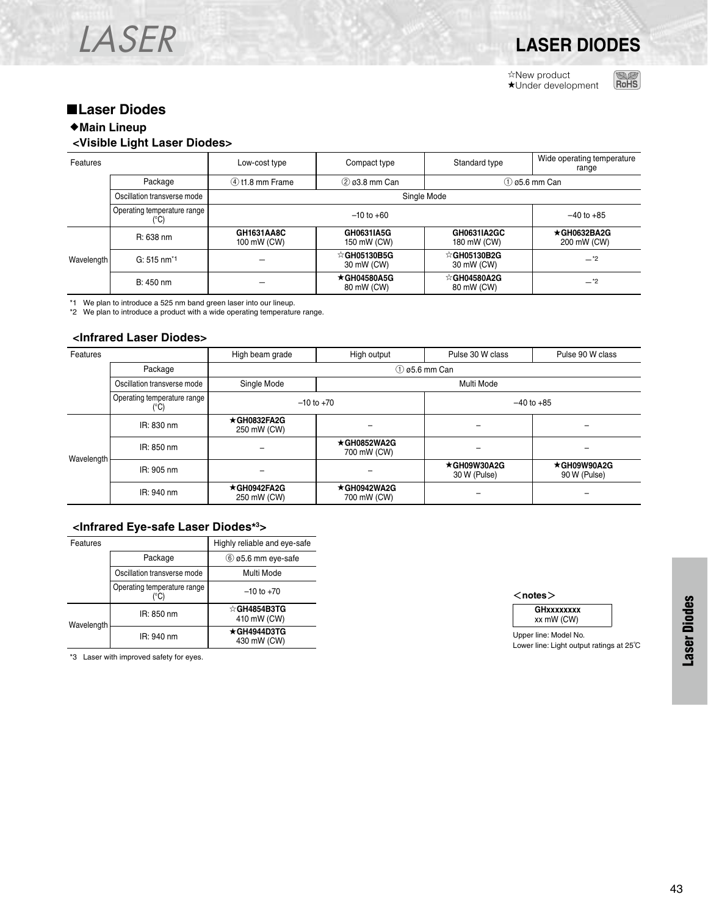

☆New product ★Under development



## ■**Laser Diodes**

### ♦**Main Lineup**

### **<Visible Light Laser Diodes>**

| Features   |                                     | Low-cost type             | Compact type                                        | Standard type                        | Wide operating temperature<br>range |  |  |  |  |
|------------|-------------------------------------|---------------------------|-----------------------------------------------------|--------------------------------------|-------------------------------------|--|--|--|--|
|            | Package                             | $(4)$ t1.8 mm Frame       | $(2)$ $03.8$ mm Can<br>$(1)$ $\emptyset$ 5.6 mm Can |                                      |                                     |  |  |  |  |
|            | Oscillation transverse mode         |                           | Single Mode                                         |                                      |                                     |  |  |  |  |
|            | Operating temperature range<br>(°C) |                           | $-40$ to $+85$                                      |                                      |                                     |  |  |  |  |
|            | R: 638 nm                           | GH1631AA8C<br>100 mW (CW) | GH0631IA5G<br>150 mW (CW)                           | GH0631IA2GC<br>180 mW (CW)           | $\star$ GH0632BA2G<br>200 mW (CW)   |  |  |  |  |
| Wavelength | $G: 515 \text{ nm}^*$ 1             |                           | $\circ$ GH05130B5G<br>30 mW (CW)                    | $\triangle$ GH05130B2G<br>30 mW (CW) | $-1$ <sup>2</sup>                   |  |  |  |  |
|            | B: 450 nm                           |                           | $\star$ GH04580A5G<br>80 mW (CW)                    | ☆GH04580A2G<br>80 mW (CW)            | $-1$ <sup>2</sup>                   |  |  |  |  |

\*1 We plan to introduce a 525 nm band green laser into our lineup. \*2 We plan to introduce a product with a wide operating temperature range.

#### **<Infrared Laser Diodes>**

| Features   |                                     | High beam grade            | High output                | Pulse 30 W class            | Pulse 90 W class                   |  |  |  |  |  |  |
|------------|-------------------------------------|----------------------------|----------------------------|-----------------------------|------------------------------------|--|--|--|--|--|--|
|            | Package                             | $(1)$ ø5.6 mm Can          |                            |                             |                                    |  |  |  |  |  |  |
|            | Oscillation transverse mode         | Single Mode<br>Multi Mode  |                            |                             |                                    |  |  |  |  |  |  |
|            | Operating temperature range<br>(°C) | $-10$ to $+70$             |                            | $-40$ to $+85$              |                                    |  |  |  |  |  |  |
| Wavelength | IR: 830 nm                          | ★GH0832FA2G<br>250 mW (CW) |                            |                             |                                    |  |  |  |  |  |  |
|            | IR: 850 nm                          |                            | ★GH0852WA2G<br>700 mW (CW) |                             |                                    |  |  |  |  |  |  |
|            | IR: 905 nm                          |                            |                            | ★GH09W30A2G<br>30 W (Pulse) | $\star$ GH09W90A2G<br>90 W (Pulse) |  |  |  |  |  |  |
|            | IR: 940 nm                          | ★GH0942FA2G<br>250 mW (CW) | ★GH0942WA2G<br>700 mW (CW) |                             |                                    |  |  |  |  |  |  |

#### **<Infrared Eye-safe Laser Diodes\*3>**

| Features   |                             | Highly reliable and eye-safe      |
|------------|-----------------------------|-----------------------------------|
|            | Package                     | $(6)$ ø5.6 mm eve-safe            |
|            | Oscillation transverse mode | Multi Mode                        |
|            | Operating temperature range | $-10$ to $+70$                    |
| Wavelength | IR: 850 nm                  | ☆GH4854B3TG<br>410 mW (CW)        |
|            | IR: 940 nm                  | $\star$ GH4944D3TG<br>430 mW (CW) |

\*3 Laser with improved safety for eyes.

<**notes**>



Upper line: Model No. Lower line: Light output ratings at 25℃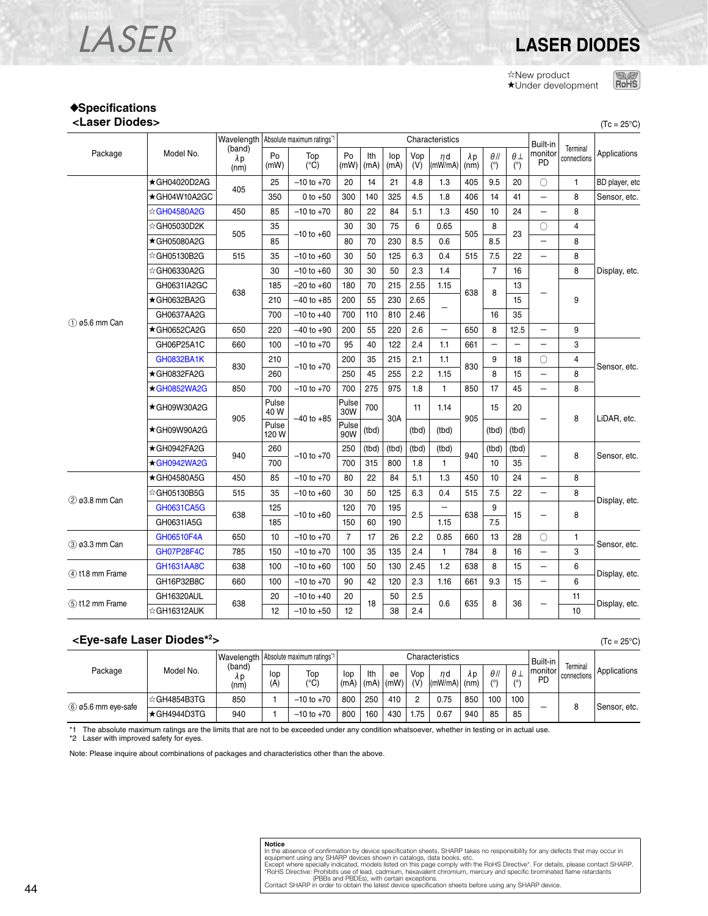## LASER **LASER DIODES**

☆New product ★Under development **ROHS** 

#### ♦**Specifications <Laser Diodes>** (Tc = 25°C)

|                                |              |     |                               | Wavelength   Absolute maximum ratings*1 | Characteristics      |            |             |             |                          |                     |                     |                    |                          | Built-in      |                         |              |
|--------------------------------|--------------|-----|-------------------------------|-----------------------------------------|----------------------|------------|-------------|-------------|--------------------------|---------------------|---------------------|--------------------|--------------------------|---------------|-------------------------|--------------|
| Package                        | Model No.    |     | (band)<br>$\lambda p$<br>(nm) | Po<br>(mW)                              | Top<br>$(^{\circ}C)$ | Po<br>(mW) | Ith<br>(mA) | lop<br>(mA) | Vop<br>(V)               | $\eta$ d<br>(mW/mA) | $\lambda p$<br>(nm) | $\theta$ //<br>(°) | $\theta$ $\perp$<br>(°)  | monitor<br>PD | Terminal<br>connections | Applications |
|                                | ★GH04020D2AG |     | 25                            | $-10$ to $+70$                          | 20                   | 14         | 21          | 4.8         | 1.3                      | 405                 | 9.5                 | 20                 | $\bigcirc$               | 1             | BD player, etc          |              |
|                                | ★GH04W10A2GC | 405 | 350                           | 0 to $+50$                              | 300                  | 140        | 325         | 4.5         | 1.8                      | 406                 | 14                  | 41                 | $\overline{\phantom{0}}$ | 8             | Sensor, etc.            |              |
|                                | ☆GH04580A2G  | 450 | 85                            | $-10$ to $+70$                          | 80                   | 22         | 84          | 5.1         | 1.3                      | 450                 | 10                  | 24                 |                          | 8             |                         |              |
|                                | ☆GH05030D2K  |     | 35                            |                                         | 30                   | 30         | 75          | 6           | 0.65                     |                     | 8                   |                    | О                        | 4             |                         |              |
|                                | ★GH05080A2G  | 505 | 85                            | $-10$ to $+60$                          | 80                   | 70         | 230         | 8.5         | 0.6                      | 505                 | 8.5                 | 23                 | $\overline{\phantom{0}}$ | 8             |                         |              |
|                                | ☆GH05130B2G  | 515 | 35                            | $-10$ to $+60$                          | 30                   | 50         | 125         | 6.3         | 0.4                      | 515                 | 7.5                 | 22                 | $\qquad \qquad -$        | 8             |                         |              |
|                                | ☆GH06330A2G  |     | 30                            | $-10$ to $+60$                          | 30                   | 30         | 50          | 2.3         | 1.4                      |                     | $\overline{7}$      | 16                 |                          | 8             | Display, etc.           |              |
|                                | GH0631IA2GC  |     | 185                           | $-20$ to $+60$                          | 180                  | 70         | 215         | 2.55        | 1.15                     |                     |                     | 13                 |                          |               |                         |              |
|                                | ★GH0632BA2G  | 638 | 210                           | $-40$ to $+85$                          | 200                  | 55         | 230         | 2.65        |                          | 638                 | 8<br>15<br>16<br>35 |                    | 9                        |               |                         |              |
|                                | GH0637AA2G   |     | 700                           | $-10$ to $+40$                          | 700                  | 110        | 810         | 2.46        |                          |                     |                     |                    |                          |               |                         |              |
| $(1)$ $\varnothing$ 5.6 mm Can | ★GH0652CA2G  | 650 | 220                           | $-40$ to $+90$                          | 200                  | 55         | 220         | 2.6         | $\overline{\phantom{0}}$ | 650                 | 8                   | 12.5               |                          | 9             |                         |              |
|                                | GH06P25A1C   | 660 | 100                           | $-10$ to $+70$                          | 95                   | 40         | 122         | 2.4         | 1.1                      | 661                 |                     |                    |                          | 3             |                         |              |
|                                | GH0832BA1K   | 830 | 210                           |                                         | 200                  | 35         | 215         | 2.1         | 1.1                      | 830                 | 9                   | 18                 | O                        | 4             | Sensor, etc.            |              |
|                                | ★GH0832FA2G  |     | 260                           | $-10$ to $+70$                          | 250                  | 45         | 255         | 2.2         | 1.15                     |                     | 8                   | 15                 | $\qquad \qquad -$        | 8             |                         |              |
|                                | ★GH0852WA2G  | 850 | 700                           | $-10$ to $+70$                          | 700                  | 275        | 975         | 1.8         | $\mathbf{1}$             | 850                 | 17                  | 45                 | $\overline{\phantom{0}}$ | 8             |                         |              |
|                                | ★GH09W30A2G  |     | Pulse<br>40 W                 | 30W<br>$-40$ to $+85$<br>90W            | Pulse                | 700        | 30A         | 11          | 1.14                     |                     | 15                  | 20                 |                          | 8             | LiDAR, etc.             |              |
|                                | ★GH09W90A2G  | 905 | Pulse<br>120 W                |                                         | Pulse                | (tbd)      |             | (tbd)       | (tbd)                    | 905                 | (tbd)               | (tbd)              |                          |               |                         |              |
|                                | ★GH0942FA2G  | 940 | 260                           | $-10$ to $+70$                          | 250                  | (tbd)      | (tbd)       | (tbd)       | (tbd)                    | 940                 | (tbd)               | (tbd)              |                          | 8             | Sensor, etc.            |              |
|                                | ★GH0942WA2G  |     | 700                           |                                         | 700                  | 315        | 800         | 1.8         | 1                        |                     | 10                  | 35                 |                          |               |                         |              |
|                                | ★GH04580A5G  | 450 | 85                            | $-10$ to $+70$                          | 80                   | 22         | 84          | 5.1         | 1.3                      | 450                 | 10                  | 24                 | $\qquad \qquad -$        | 8             |                         |              |
| 2 ø3.8 mm Can                  | ☆GH05130B5G  | 515 | 35                            | $-10$ to $+60$                          | 30                   | 50         | 125         | 6.3         | 0.4                      | 515                 | 7.5                 | 22                 | $\qquad \qquad -$        | 8             | Display, etc.           |              |
|                                | GH0631CA5G   | 638 | 125                           | $-10$ to $+60$                          | 120                  | 70         | 195         | 2.5         | $\overline{\phantom{0}}$ | 638                 | 9                   | 15                 | -                        | 8             |                         |              |
|                                | GH0631IA5G   |     | 185                           |                                         | 150                  | 60         | 190         |             | 1.15                     |                     | 7.5                 |                    |                          |               |                         |              |
| 3 ø3.3 mm Can                  | GH06510F4A   | 650 | 10                            | $-10$ to $+70$                          | $\overline{7}$       | 17         | 26          | 2.2         | 0.85                     | 660                 | 13                  | 28                 | Ω                        | $\mathbf{1}$  |                         |              |
|                                | GH07P28F4C   | 785 | 150                           | $-10$ to $+70$                          | 100                  | 35         | 135         | 2.4         | 1                        | 784                 | 8                   | 16                 | $\overline{\phantom{0}}$ | 3             | Sensor, etc.            |              |
|                                | GH1631AA8C   | 638 | 100                           | $-10$ to $+60$                          | 100                  | 50         | 130         | 2.45        | 1.2                      | 638                 | 8                   | 15                 | $\qquad \qquad -$        | 6             |                         |              |
| $(4)$ t1.8 mm Frame            | GH16P32B8C   | 660 | 100                           | $-10$ to $+70$                          | 90                   | 42         | 120         | 2.3         | 1.16                     | 661                 | 9.3                 | 15                 | $\qquad \qquad -$        | 6             | Display, etc.           |              |
|                                | GH16320AUL   |     | 20                            | $-10$ to $+40$                          | 20                   |            | 50          | 2.5         |                          |                     |                     |                    |                          | 11            |                         |              |
| $(5)$ t1.2 mm Frame            | ☆GH16312AUK  | 638 | 12                            | $-10$ to $+50$                          | 12                   | 18         | 38          | 2.4         | 0.6<br>635               | 8                   | 36                  | -                  | Display, etc.<br>10      |               |                         |              |

#### **<Eye-safe Laser Diodes\*2**

|                    | Model No.   |                      |            | Wavelength   Absolute maximum ratings <sup>*1</sup> |             | Characteristics |            |            |                      |     |                    |                        |                           |                         |              |
|--------------------|-------------|----------------------|------------|-----------------------------------------------------|-------------|-----------------|------------|------------|----------------------|-----|--------------------|------------------------|---------------------------|-------------------------|--------------|
| Package            |             | (band)<br>Λp<br>(nm) | lop<br>'A) | Top<br>(°C)                                         | lop<br>(mA) | Ith<br>(mA)     | øe<br>(mW) | Vop<br>(V) | nd<br>$(mW/mA)$ (nm) | λp  | $\theta$ //<br>/٥١ | $\theta$<br>$\sqrt{2}$ | Built-in<br>monitor<br>PD | Terminal<br>connections | Applications |
| 6 ø5.6 mm eye-safe | ☆GH4854B3TG | 850                  |            | $-10$ to $+70$                                      | 800         | 250             | 410        |            | 0.75                 | 850 | 100                | 100                    |                           |                         | Sensor, etc. |
|                    | ★GH4944D3TG | 940                  |            | $-10$ to $+70$                                      | 800         | 160             | 430        | .75        | 0.67                 | 940 | 85                 | 85                     | _                         |                         |              |

The absolute maximum ratings are the limits that are not to be exceeded under any condition whatsoever, whether in testing or in actual use. \*1 The absolute maximum ratings are t<br>\*2 Laser with improved safety for eyes.

Note: Please inquire about combinations of packages and characteristics other than the above.

# **Notice**<br>In the absence of confirmation by device specification sheets, SHARP takes no responsibility for any defects that may occur in<br>equipment using any SHARP devices shown in catalogs, data books, etc.<br>Except where spe

**>** (Tc = 25°C)